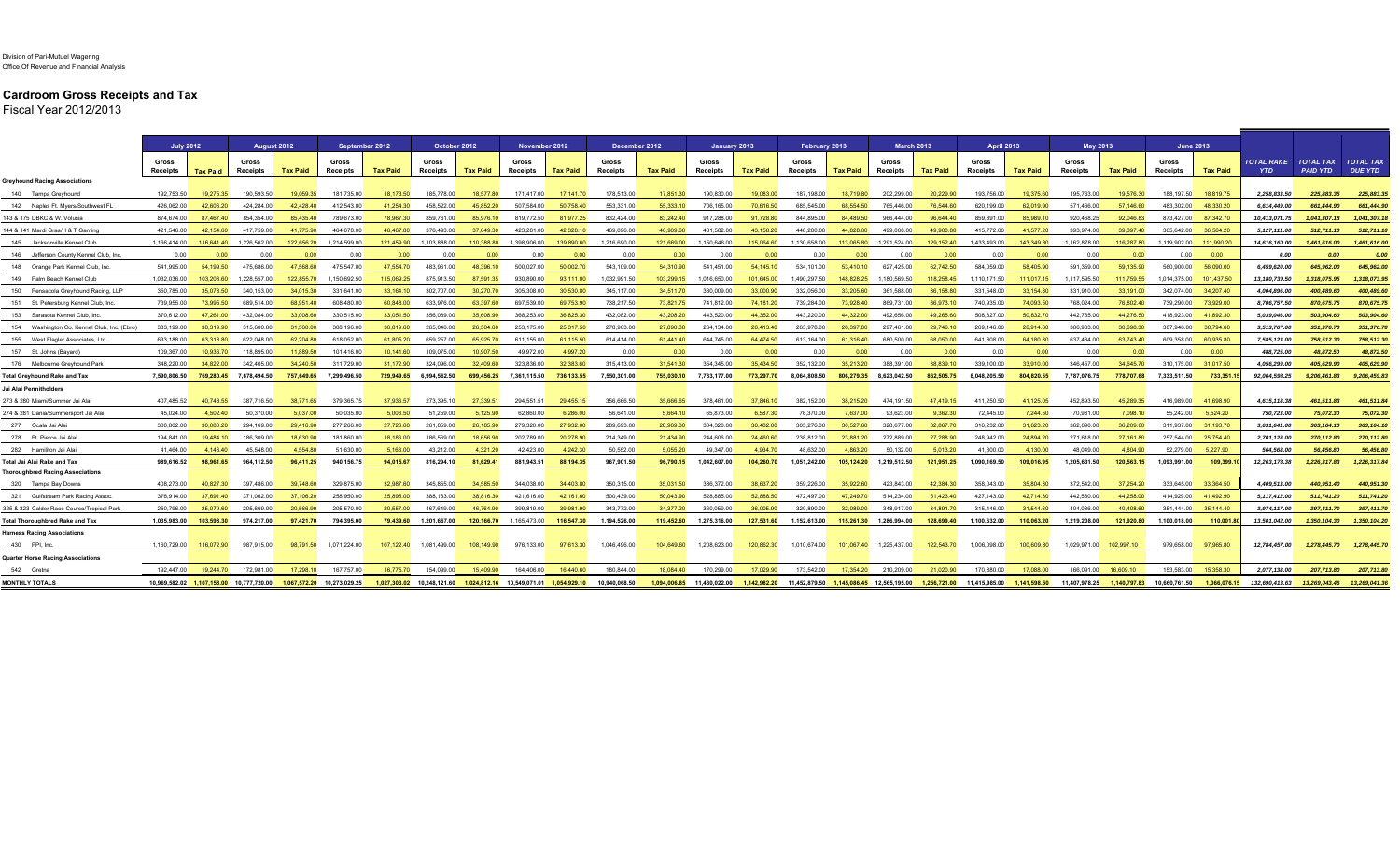## **Cardroom Gross Receipts and Tax**

Fiscal Year 2012/2013

|                                                                | <b>July 2012</b>  |            | August 2012                                |                 | September 2012             |                 | October 2012                            |                 | November 2012            |                 | December 2012            |                 | January 2013             |                 | February 2013            |                 | <b>March 2013</b>        |                 | <b>April 2013</b>        |                 | <b>May 2013</b>          |                 | <b>June 2013</b>         |                 |                                 |                                     |                                    |
|----------------------------------------------------------------|-------------------|------------|--------------------------------------------|-----------------|----------------------------|-----------------|-----------------------------------------|-----------------|--------------------------|-----------------|--------------------------|-----------------|--------------------------|-----------------|--------------------------|-----------------|--------------------------|-----------------|--------------------------|-----------------|--------------------------|-----------------|--------------------------|-----------------|---------------------------------|-------------------------------------|------------------------------------|
|                                                                | Gross<br>Receipts | Tax Paid   | Gross<br><b>Receipts</b>                   | <b>Tax Paid</b> | Gross<br><b>Receipts</b>   | <b>Tax Paid</b> | Gross<br>Receipts                       | <b>Tax Paid</b> | Gross<br><b>Receipts</b> | <b>Tax Paid</b> | Gross<br><b>Receipts</b> | <b>Tax Paid</b> | Gross<br><b>Receipts</b> | <b>Tax Paid</b> | Gross<br><b>Receipts</b> | <b>Tax Paid</b> | Gross<br><b>Receipts</b> | <b>Tax Paid</b> | Gross<br><b>Receipts</b> | <b>Tax Paid</b> | Gross<br><b>Receipts</b> | <b>Tax Paid</b> | Gross<br><b>Receipts</b> | <b>Tax Paid</b> | <b>TOTAL RAKE</b><br><b>YTD</b> | <b>TOTAL TAX</b><br><b>PAID YTD</b> | <b>TOTAL TAX</b><br><b>DUE YTD</b> |
| <b>Greyhound Racing Associations</b>                           |                   |            |                                            |                 |                            |                 |                                         |                 |                          |                 |                          |                 |                          |                 |                          |                 |                          |                 |                          |                 |                          |                 |                          |                 |                                 |                                     |                                    |
| 140 Tampa Greyhoung                                            | 192.753.50        | 19.275.35  | 190.593.50                                 | 19.059.35       | 181.735.00                 | 18.173.50       | 185,778.00                              | 18.577.80       | 171,417.00               | 17.141.70       | 178,513.00               | 17,851.30       | 190.830.00               | 19.083.00       | 187, 198, 00             | 18.719.80       | 202.299.00               | 20,229.90       | 193.756.00               | 19.375.60       | 195,763.00               | 19,576.30       | 188.197.50               | 18.819.75       | 2.258.833.50                    | 225.883.35                          | 225,883,35                         |
| 142 Naples Ft. Myers/Southwest FL                              | 426.062.00        | 42.606.20  | 424.284.00                                 | 42.428.40       | 412.543.00                 | 41.254.30       | 458,522.00                              | 45.852.20       | 507.584.00               | 50 758 40       | 553,331.00               | 55,333,10       | 706.165.00               | 70 616 50       | 685.545.00               | 68 554 50       | 765 446 00               | 76,544.60       | 620.199.00               | 62.019.90       | 571.466.00               | 57,146.60       | 483.302.00               | 48.330.20       | 6,614,449.00                    | 661.444.90                          | 661,444.90                         |
| 143 & 175 DBKC & W. Volusia                                    | 874.674.00        | 87.467.40  | 854,354.00                                 | 85.435.40       | 789.673.00                 | 78.967.30       | 859,761.00                              | 85.976.10       | 819,772.50               | 81,977.25       | 832,424.00               | 83,242.40       | 917,288.00               | 91,728.80       | 844.895.00               | 84,489.50       | 966,444.00               | 96.644.40       | 859.891.00               | 85.989.10       | 920,468.25               | 92,046.83       | 873,427.00               | 87,342.70       | 10,413,071.75                   | 1.041.307.18                        | 1,041,307.18                       |
| 144 & 141 Mardi Gras/H & T Gamino                              | 421.546.00        | 42.154.60  | 417.759.00                                 | 41,775.90       | 464.678.00                 | 46.467.80       | 376,493.00                              | 37.649.30       | 423.281.00               | 42.328.10       | 469.096.00               | 46.909.60       | 431.582.00               | 43.158.20       | 448.280.00               | 44.828.00       | 499,008.00               | 49,900.80       | 415,772.00               | 41.577.20       | 393.974.00               | 39.397.40       | 365.642.00               | 36.564.20       | 5.127.111.00                    | 512.711.10                          | 512,711.10                         |
| 145 Jacksonville Kennel Club                                   | 1.166.414.00      | 16,641.40  | 1,226,562.00                               | 122,656.20      | 1,214,599.00               | 121,459.90      | ,103,888.00                             | 110,388.80      | ,398,906.00              | 139.890.60      | 1,216,690.00             | 121,669.00      | 1,150,646.00             | 115.064.60      | ,130,658.00              | 113,065.80      | 1,291,524.00             | 129,152.40      | 1,433,493.00             | 143,349.30      | ,162,878.00              | 116,287.80      | 1,119,902.00             | 111,990.20      | 14,616,160.00                   | 1,461,616.00                        | 1,461,616.00                       |
| 146 Jefferson County Kennel Club, Inc.                         | 0.00              | 0.00       | 0.00                                       | 0.00            | 0.00                       | 0.00            | 0.00                                    | 0.00            | 0.00                     | 0.00            | 0.00                     | 0.00            | 0.00                     | 0.00            | 0.00                     | 0.00            | 0.00                     | 0.00            | 0.00                     | 0.00            | 0.00                     | 0.00            | 0.00                     | 0.00            | 0.00                            | 0.00                                | 0.00                               |
| 148 Orange Park Kennel Club, Inc.                              | 541.995.00        | 54.199.50  | 475.686.00                                 | 47.568.60       | 475.547.00                 | 47.554.70       | 483.961.00                              | 48.396.10       | 500,027.00               | 50.002.70       | 543.109.00               | 54.310.90       | 541.451.00               | 54.145.10       | 534.101.00               | 53,410.10       | 627,425.00               | 62,742.50       | 584.059.00               | 58,405.90       | 591.359.00               | 59.135.90       | 560.900.00               | 56,090.00       | 6,459,620.00                    | 645.962.00                          | 645,962.00                         |
| 149 Palm Beach Kennel Club                                     | 1.032.036.00      | 103.203.60 | 1,228,557.00                               | 122.855.70      | 1.150.692.50               | 115.069.25      | 875.913.50                              | 87.591.35       | 930.890.00               | 93 111 00       | 1.032.991.50             | 103,299.15      | 1,016,650.00             | 101.645.00      | 1,490,297.50             | 148.828.25      | 1.180.569.50             | 118,258.45      | 1.110.171.50             | 111.017.15      | 1.117.595.50             | 111,759.55      | 1.014.375.00             | 101.437.50      | 13,180,739.50                   | 1,318,075.95                        | 1,318,073.95                       |
| 150 Pensacola Greyhound Racing, LLP                            | 350,785.00        | 35,078.50  | 340.153.00                                 | 34.015.30       | 331,641.00                 | 33.164.10       | 302,707.00                              | 30,270.70       | 305.308.00               | 30.530.80       | 345.117.00               | 34,511.70       | 330,009.00               | 33.000.90       | 332,056.00               | 33,205.60       | 361.588.00               | 36,158.80       | 331.548.00               | 33.154.80       | 331,910.00               | 33,191.00       | 342,074.00               | 34,207.40       | 4,004,896.00                    | 400.489.60                          | 400,489.60                         |
| 151 St. Petersburg Kennel Club, Inc                            | 739.955.00        | 73.995.50  | 689.514.00                                 | 68 951 40       | 608,480.00                 | 60 848 00       | 633.976.00                              | 63 397 60       | 697.539.00               | 69.753.90       | 738.217.50               | 73.821.75       | 741.812.00               | 74 181 20       | 739.284.00               | 73,928.40       | 869.731.00               | 86.973.10       | 740 935 00               | 74.093.50       | 768.024.00               | 76.802.40       | 739.290.00               | 73,929.00       | 8,706,757.50                    | 870.675.75                          | 870,675.75                         |
| 153 Sarasota Kennel Club, Inc                                  | 370,612.00        | 47,261.00  | 432,084.00                                 | 33,008.60       | 330,515.00                 | 33,051.50       | 356,089.00                              | 35.608.90       | 368,253.00               | 36,825.30       | 432,082.00               | 43,208.20       | 443,520.00               | 44,352.00       | 443,220.00               | 44,322.00       | 492,656.00               | 49,265.60       | 508,327.00               | 50,832.70       | 442,765.00               | 44,276.50       | 418,923.00               | 41,892.30       | 5,039,046.00                    | 503,904.60                          | 503,904.60                         |
| 154 Washington Co. Kennel Club, Inc. (Ebro                     | 383.199.00        | 38.319.90  | 315,600.00                                 | 31.560.00       | 308,196.00                 | 30.819.60       | 265.046.00                              | 26,504.60       | 253,175.00               | 25,317.50       | 278,903.00               | 27,890.30       | 264,134.00               | 26.413.40       | 263.978.00               | 26.397.80       | 297.461.00               | 29.746.10       | 269.146.00               | 26.914.60       | 306.983.00               | 30.698.30       | 307.946.00               | 30.794.60       | 3,513,767.00                    | 351,376.70                          | 351,376.70                         |
| 155 West Flagler Associates, Ltd                               | 633.188.00        | 63.318.80  | 622.048.00                                 | 62.204.80       | 618.052.00                 | 6180520         | 659,257.00                              | 65.925.70       | 611.155.00               | 61 115 50       | 614 414 00               | 61.441.40       | 644.745.00               | 64 474 50       | 613.164.00               | 61 316 40       | 680 500 00               | 68.050.00       | 641 808 00               | 64 180 80       | 637.434.00               | 63.743.40       | 609 358 00               | 60.935.80       | 7,585,123.00                    | 758.512.30                          | 758,512.30                         |
| 157 St. Johns (Bayard                                          | 109.367.00        | 10,936.70  | 118,895.00                                 | 11.889.50       | 101,416.00                 | 10.141.60       | 109,075.00                              | 10.907.50       | 49,972.00                | 4,997.20        | 0.00                     | 0.00            | 0.00                     | 0.00            | 0.00                     | 0.00            | 0.00                     | 0.00            | 0.00                     | 0.00            | 0.00                     | 0.00            | 0.00                     | 0.00            | 488,725.00                      | 48,872.50                           | 48,872.50                          |
| 176 Melbourne Grevhound Park                                   | 348.220.00        | 34.822.00  | 342 405 00                                 | 34 240 50       | 311,729.00                 | 31 172 90       | 324.096.00                              | 32 409 60       | 323 836 00               | 32 383 60       | 315 413 00               | 31 541 30       | 354 345 00               | 35 434 50       | 352 132 00               | 35.213.20       | 388 391 00               | 38 839 10       | 339 100 00               | 33,910.00       | 346 457 00               | 34 645 70       | 310 175 00               | 31 017 50       | 4.056.299.00                    | 405.629.90                          | 405,629.90                         |
| <b>Total Greyhound Rake and Tax</b>                            | 7.590.806.50      | 769.280.45 | 7.678.494.50                               | 757.649.65      | 7.299.496.50               | 729.949.65      | 6.994.562.50                            | 699.456.25      | 7.361.115.50             | 736.133.55      | 7.550.301.00             | 755,030,10      | 7.733.177.00             | 773,297.70      | 8.064.808.50             |                 | 806.279.35 8.623.042.50  | 862,505.75      | 8.048.205.50             | 804.820.55      | 7.787.076.75             |                 | 778.707.68 7.333.511.50  | 733.351.        | 92.064.598.25                   | 9.206.461.83                        | 9,206,459.83                       |
| Jai Alai Permitholder                                          |                   |            |                                            |                 |                            |                 |                                         |                 |                          |                 |                          |                 |                          |                 |                          |                 |                          |                 |                          |                 |                          |                 |                          |                 |                                 |                                     |                                    |
| 273 & 280 Miami/Summer Jai Alai                                | 407.485.52        | 40.748.55  | 387.716.50                                 | 38,771.65       | 379.365.75                 | 37,936.57       | 273.395.10                              | 27.339.51       | 294.551.51               | 29.455.15       | 356,666.50               | 35.666.65       | 378.461.00               | 37.846.10       | 382.152.00               | 38,215.20       | 474.191.50               | 47.419.15       | 411.250.50               | 41.125.05       | 452.893.50               | 45.289.35       | 416.989.00               | 41.698.90       | 4.615.118.38                    | 461.511.83                          | 461.511.84                         |
| 274 & 281 Dania/Summersport Jai Alai                           | 45,024.00         | 4.502.40   | 50.370.00                                  | 5.037.00        | 50,035.00                  | 5.003.50        | 51,259.00                               | 5.125.90        | 62,860.00                | 6,286.00        | 56.641.00                | 5,664.10        | 65,873.00                | 6,587.30        | 76,370.00                | 7.637.00        | 93,623.00                | 9,362.30        | 72,445.00                | 7,244.50        | 70,981.00                | 7,098.10        | 55,242.00                | 5,524.20        | 750,723.00                      | 75,072.30                           | 75,072.30                          |
| 277 Ocala Jai Alai                                             | 300.802.00        | 0.080.20   | 294.169.00                                 | 29.416.90       | 277,266.00                 | 27.726.60       | 261.859.00                              | 26.185.90       | 279,320.00               | 27,932.00       | 289.693.00               | 28.969.30       | 304.320.00               | 30.432.00       | 305,276.00               | 30.527.60       | 328,677.00               | 32.867.70       | 316,232.00               | 31.623.20       | 362,090.00               | 36.209.00       | 311.937.00               | 31.193.70       | 3,631,641.00                    | 363.164.10                          | 363, 164.10                        |
| 278 Ft. Pierce Jai Ala                                         | 194.841.00        | 9.484.10   | 186,309.00                                 | 18.630.90       | 181.860.00                 | 18.186.00       | 186.569.00                              | 18.656.90       | 202.789.00               | 20,278.90       | 214.349.00               | 21.434.90       | 244.606.00               | 24.460.60       | 238.812.00               | 23,881.20       | 272,889.00               | 27.288.90       | 248.942.00               | 24.894.20       | 271.618.00               | 27.161.80       | 257.544.00               | 25.754.40       | 2.701.128.00                    | 270.112.80                          | 270,112.80                         |
| 282 Hamiliton Jai Ala                                          | 41.464.00         | 4 146 40   | 45.548.00                                  | 4.554.80        | 51.630.00                  | 5 163 00        | 43.212.00                               | 4 321 20        | 42.423.00                | 4.242.30        | 50.552.00                | 5.055.20        | 49.347.00                | 4.934.70        | 48.632.00                | 486320          | 50.132.00                | 501320          | 41.300.00                | 4.130.00        | 48.049.00                | 4.804.90        | 52.279.00                | 5.227.90        | 564,568.00                      | 56,456.80                           | 56,456.80                          |
| Total Jai Alai Rake and Tax                                    | 989.616.52        | 98.961.65  | 964.112.50                                 | 96.411.25       | 940.156.75                 | 94.015.67       | 816,294.10                              | 81,629.41       | 881,943.51               | 88.194.35       | 967.901.50               | 96,790.15       | 1.042.607.00             | 104.260.70      | 1.051.242.00             | 105.124.20      | 1,219,512.50             | 121,951.25      | 1.090.169.50             | 109.016.95      | 1,205,631.50             | 120,563.15      | 1,093,991.00             | 109.399.        | 12,263,178.38                   | 1,226,317.83                        | 1,226,317.84                       |
| <b>Thoroughbred Racing Associations</b><br>320 Tampa Bay Downs | 408.273.00        | 40.827.30  | 397,486.00                                 | 39,748.60       | 329,875.00                 | 32.987.60       | 345,855.00                              | 34.585.50       | 344.038.00               | 34.403.80       | 350,315.00               | 35,031.50       | 386,372.00               | 38.637.20       | 359,226.00               | 35,922.60       | 423.843.00               | 42,384.30       | 358.043.00               | 35.804.30       | 372,542.00               | 37,254.20       | 333,645.00               | 33,364.50       | 4.409.513.00                    | 440.951.40                          | 440,951.30                         |
| 321 Gulfstream Park Racing Assoc.                              | 376.914.00        | 37.691.40  | 371.062.00                                 | 37.106.20       | 258.950.00                 | 25,895.00       | 388.163.00                              | 38.816.30       | 421.616.00               | 42.161.60       | 500.439.00               | 50.043.90       | 528.885.00               | 52 888 50       | 472.497.00               | 47.249.70       | 514.234.00               | 51.423.40       | 427.143.00               | 42.714.30       | 442.580.00               | 44.258.00       | 414.929.00               | 41,492.90       | 5.117.412.00                    | 511.741.20                          | 511,741.20                         |
| 325 & 323 Calder Race Course/Tropical Park                     | 250,796.00        | 25,079.60  | 205,669.00                                 | 20,566.90       | 205,570.00                 | 20,557.00       | 467,649.00                              | 46,764.90       | 399,819.00               | 39.981.9        | 343,772.00               | 34,377.20       | 360,059.00               | 36.005.90       | 320,890.00               | 32.089.00       | 348.917.00               | 34.891.7        | 315,446.00               | 31.544.6        | 404.086.00               | 40.408.60       | 351.444.00               | 35.144.40       | 3,974,117.00                    | 397,411.70                          | 397,411.70                         |
| <b>Total Thoroughbred Rake and Tax</b>                         | 1.035.983.00      | 103.598.30 | 974.217.00                                 | 97.421.70       | 794.395.00                 | 79.439.60       | 1.201.667.00                            | 120.166.70      | 1.165.473.00             | 116,547.30      | 1.194.526.00             | 119,452.60      | 1.275.316.00             | 127.531.60      | 1.152.613.00             | 115,261.30      | 1.286.994.00             | 128,699,40      | 1.100.632.00             | 110.063.20      | 1.219.208.00             | 121.920.80      | 1.100.018.00             | 110,001.8       | 13,501,042.00                   | 1.350.104.30                        | 1,350,104.20                       |
| <b>Harness Racing Associations</b>                             |                   |            |                                            |                 |                            |                 |                                         |                 |                          |                 |                          |                 |                          |                 |                          |                 |                          |                 |                          |                 |                          |                 |                          |                 |                                 |                                     |                                    |
| 430 PPI, Inc.                                                  | 1.160.729.00      | 116,072.90 | 987,915.00                                 | 98.791.50       | 1,071,224.00               | 107.122.40      | 1,081,499.00                            | 108.149.90      | 976,133.00               | 97.613.30       | 1,046,496.00             | 104.649.60      | 1,208,623.00             | 120.862.30      | 1,010,674.00             |                 | 101,067.40 1,225,437.00  | 122,543.70      | 1,006,098.00             | 100.609.80      | 1,029,971.00             | 102,997.10      | 979,658.00 97,965.80     |                 | 12,784,457.00                   | 1,278,445.70  1,278,445.70          |                                    |
| <b>Quarter Horse Racing Associations</b>                       |                   |            |                                            |                 |                            |                 |                                         |                 |                          |                 |                          |                 |                          |                 |                          |                 |                          |                 |                          |                 |                          |                 |                          |                 |                                 |                                     |                                    |
| 542 Gretna                                                     | 192.447.00        | 19 244 70  | 172.981.00                                 | 17,298.10       | 167.757.00                 | 16 775 70       | 154,099.00                              | 15,409.90       | 164 406 00               | 16 440 60       | 180 844 00               | 18.084.40       | 170.299.00               | 17.029.90       | 173.542.00               | 17.354.20       | 210.209.00               | 21.020.90       | 170,880.00               | 17,088.00       | 166.091.00               | 16 609 10       | 153.583.00               | 15 358 30       | 2.077.138.00                    | 207.713.80                          | 207.713.80                         |
| <b>MONTHLY TOTALS</b>                                          |                   |            | 10,969,582.02  1,107,158.00  10,777,720.00 |                 | 1,067,572.20 10,273,029.25 |                 | 1,027,303.02 10,248,121.60 1,024,812.16 |                 | 10,549,071.01            | 1.054.929.10    | 10.940.068.50            | 1,094,006.85    | 11,430,022.00            | 1,142,982.20    |                          |                 |                          | 1,256,721.00    | 11,415,985.00            | 1.141.598.50    | 11,407,978.25            | 1.140.797.83    | 10.660.761.50            | 1.066.076.15    | 132,690,413.63                  | 13.269.043.46                       | 13.269.041.36                      |

<u> 1989 - Johann Harry Barn, mars ar brening ar yn y brening yn y brening y brening yn y brening yn y brening y</u>